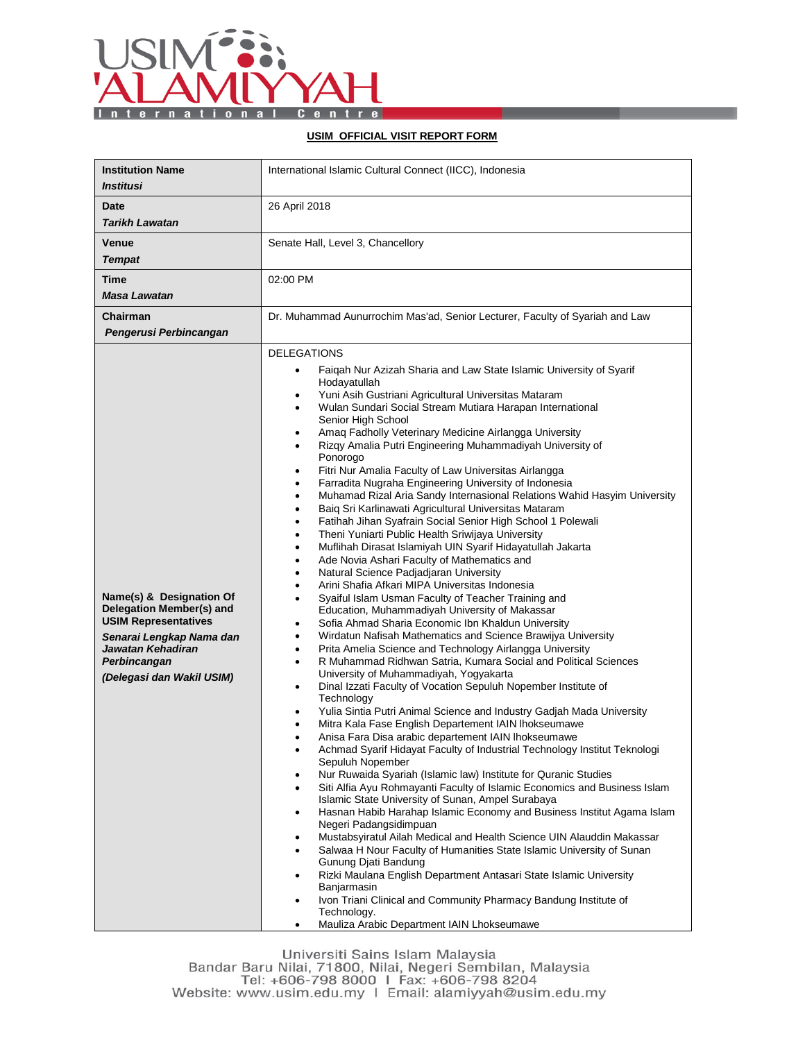

## **USIM OFFICIAL VISIT REPORT FORM**

| <b>Institution Name</b><br><b>Institusi</b>                                                                                                                                       | International Islamic Cultural Connect (IICC), Indonesia                                                                                                                                                                                                                                                                                                                                                                                                                                                                                                                                                                                                                                                                                                                                                                                                                                                                                                                                                                                                                                                                                                                                                                                                                                                                                                                                                                                                                                                                                                                                                                                                                                                                                                                                                                                                                                                                                                                                                                                                                                                                                                                                                                                                                                                                                                                                                                                                                                                                                                                                                                                                                                                                                                                 |  |  |
|-----------------------------------------------------------------------------------------------------------------------------------------------------------------------------------|--------------------------------------------------------------------------------------------------------------------------------------------------------------------------------------------------------------------------------------------------------------------------------------------------------------------------------------------------------------------------------------------------------------------------------------------------------------------------------------------------------------------------------------------------------------------------------------------------------------------------------------------------------------------------------------------------------------------------------------------------------------------------------------------------------------------------------------------------------------------------------------------------------------------------------------------------------------------------------------------------------------------------------------------------------------------------------------------------------------------------------------------------------------------------------------------------------------------------------------------------------------------------------------------------------------------------------------------------------------------------------------------------------------------------------------------------------------------------------------------------------------------------------------------------------------------------------------------------------------------------------------------------------------------------------------------------------------------------------------------------------------------------------------------------------------------------------------------------------------------------------------------------------------------------------------------------------------------------------------------------------------------------------------------------------------------------------------------------------------------------------------------------------------------------------------------------------------------------------------------------------------------------------------------------------------------------------------------------------------------------------------------------------------------------------------------------------------------------------------------------------------------------------------------------------------------------------------------------------------------------------------------------------------------------------------------------------------------------------------------------------------------------|--|--|
| Date<br><b>Tarikh Lawatan</b>                                                                                                                                                     | 26 April 2018                                                                                                                                                                                                                                                                                                                                                                                                                                                                                                                                                                                                                                                                                                                                                                                                                                                                                                                                                                                                                                                                                                                                                                                                                                                                                                                                                                                                                                                                                                                                                                                                                                                                                                                                                                                                                                                                                                                                                                                                                                                                                                                                                                                                                                                                                                                                                                                                                                                                                                                                                                                                                                                                                                                                                            |  |  |
| Venue<br><b>Tempat</b>                                                                                                                                                            | Senate Hall, Level 3, Chancellory                                                                                                                                                                                                                                                                                                                                                                                                                                                                                                                                                                                                                                                                                                                                                                                                                                                                                                                                                                                                                                                                                                                                                                                                                                                                                                                                                                                                                                                                                                                                                                                                                                                                                                                                                                                                                                                                                                                                                                                                                                                                                                                                                                                                                                                                                                                                                                                                                                                                                                                                                                                                                                                                                                                                        |  |  |
| Time<br>Masa Lawatan                                                                                                                                                              | 02:00 PM                                                                                                                                                                                                                                                                                                                                                                                                                                                                                                                                                                                                                                                                                                                                                                                                                                                                                                                                                                                                                                                                                                                                                                                                                                                                                                                                                                                                                                                                                                                                                                                                                                                                                                                                                                                                                                                                                                                                                                                                                                                                                                                                                                                                                                                                                                                                                                                                                                                                                                                                                                                                                                                                                                                                                                 |  |  |
| Chairman<br>Pengerusi Perbincangan                                                                                                                                                | Dr. Muhammad Aunurrochim Mas'ad, Senior Lecturer, Faculty of Syariah and Law                                                                                                                                                                                                                                                                                                                                                                                                                                                                                                                                                                                                                                                                                                                                                                                                                                                                                                                                                                                                                                                                                                                                                                                                                                                                                                                                                                                                                                                                                                                                                                                                                                                                                                                                                                                                                                                                                                                                                                                                                                                                                                                                                                                                                                                                                                                                                                                                                                                                                                                                                                                                                                                                                             |  |  |
| Name(s) & Designation Of<br>Delegation Member(s) and<br><b>USIM Representatives</b><br>Senarai Lengkap Nama dan<br>Jawatan Kehadiran<br>Perbincangan<br>(Delegasi dan Wakil USIM) | <b>DELEGATIONS</b><br>Faiqah Nur Azizah Sharia and Law State Islamic University of Syarif<br>$\bullet$<br>Hodayatullah<br>Yuni Asih Gustriani Agricultural Universitas Mataram<br>٠<br>Wulan Sundari Social Stream Mutiara Harapan International<br>$\bullet$<br>Senior High School<br>Amaq Fadholly Veterinary Medicine Airlangga University<br>٠<br>Rizqy Amalia Putri Engineering Muhammadiyah University of<br>$\bullet$<br>Ponorogo<br>Fitri Nur Amalia Faculty of Law Universitas Airlangga<br>$\bullet$<br>Farradita Nugraha Engineering University of Indonesia<br>$\bullet$<br>Muhamad Rizal Aria Sandy Internasional Relations Wahid Hasyim University<br>٠<br>Baiq Sri Karlinawati Agricultural Universitas Mataram<br>٠<br>Fatihah Jihan Syafrain Social Senior High School 1 Polewali<br>٠<br>Theni Yuniarti Public Health Sriwijaya University<br>$\bullet$<br>Muflihah Dirasat Islamiyah UIN Syarif Hidayatullah Jakarta<br>٠<br>Ade Novia Ashari Faculty of Mathematics and<br>٠<br>Natural Science Padjadjaran University<br>٠<br>Arini Shafia Afkari MIPA Universitas Indonesia<br>٠<br>Syaiful Islam Usman Faculty of Teacher Training and<br>$\bullet$<br>Education, Muhammadiyah University of Makassar<br>Sofia Ahmad Sharia Economic Ibn Khaldun University<br>٠<br>Wirdatun Nafisah Mathematics and Science Brawijya University<br>٠<br>Prita Amelia Science and Technology Airlangga University<br>$\bullet$<br>R Muhammad Ridhwan Satria, Kumara Social and Political Sciences<br>$\bullet$<br>University of Muhammadiyah, Yogyakarta<br>Dinal Izzati Faculty of Vocation Sepuluh Nopember Institute of<br>$\bullet$<br>Technology<br>Yulia Sintia Putri Animal Science and Industry Gadjah Mada University<br>$\bullet$<br>Mitra Kala Fase English Departement IAIN Ihokseumawe<br>٠<br>Anisa Fara Disa arabic departement IAIN Ihokseumawe<br>$\bullet$<br>Achmad Syarif Hidayat Faculty of Industrial Technology Institut Teknologi<br>Sepuluh Nopember<br>Nur Ruwaida Syariah (Islamic law) Institute for Quranic Studies<br>Siti Alfia Ayu Rohmayanti Faculty of Islamic Economics and Business Islam<br>$\bullet$<br>Islamic State University of Sunan, Ampel Surabaya<br>Hasnan Habib Harahap Islamic Economy and Business Institut Agama Islam<br>$\bullet$<br>Negeri Padangsidimpuan<br>Mustabsyiratul Ailah Medical and Health Science UIN Alauddin Makassar<br>٠<br>Salwaa H Nour Faculty of Humanities State Islamic University of Sunan<br>$\bullet$<br>Gunung Djati Bandung<br>Rizki Maulana English Department Antasari State Islamic University<br>$\bullet$<br>Banjarmasin<br>Ivon Triani Clinical and Community Pharmacy Bandung Institute of<br>٠<br>Technology.<br>Mauliza Arabic Department IAIN Lhokseumawe<br>$\bullet$ |  |  |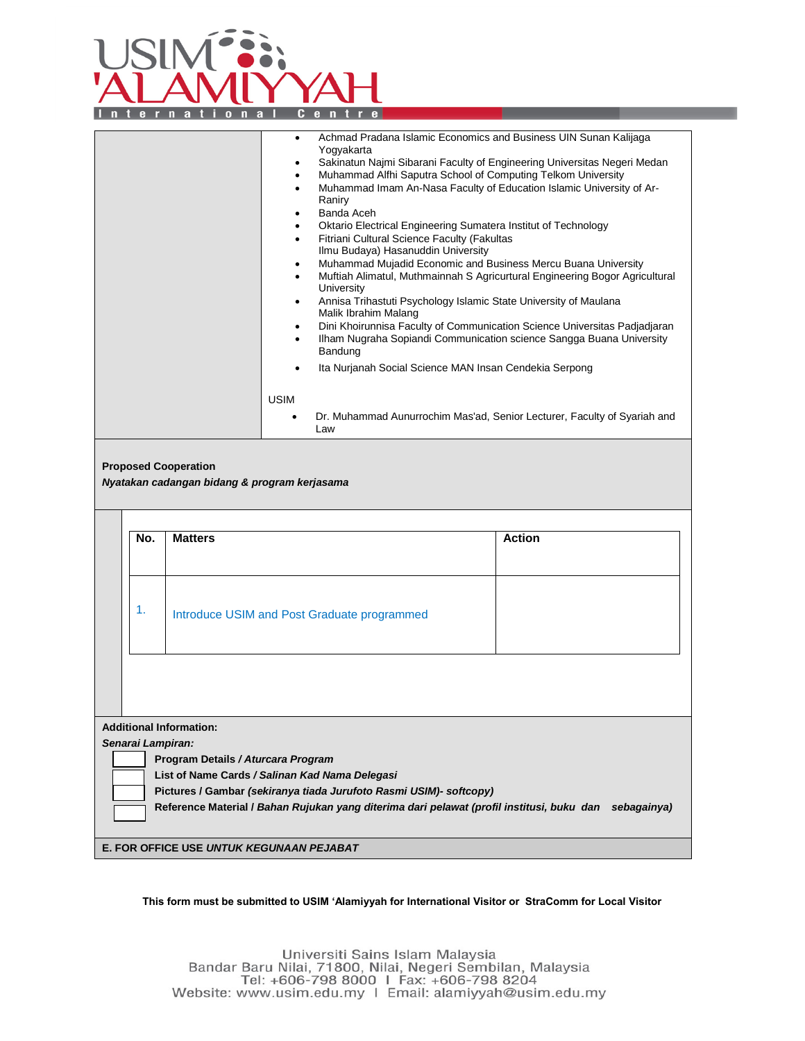

|                                                                                                                                                                                                                                                                                                                            | Achmad Pradana Islamic Economics and Business UIN Sunan Kalijaga<br>$\bullet$<br>Yogyakarta<br>Sakinatun Najmi Sibarani Faculty of Engineering Universitas Negeri Medan<br>Muhammad Alfhi Saputra School of Computing Telkom University<br>$\bullet$<br>Muhammad Imam An-Nasa Faculty of Education Islamic University of Ar-<br>$\bullet$<br>Raniry<br>Banda Aceh<br>$\bullet$<br>Oktario Electrical Engineering Sumatera Institut of Technology<br>٠<br>Fitriani Cultural Science Faculty (Fakultas<br>$\bullet$<br>Ilmu Budaya) Hasanuddin University<br>Muhammad Mujadid Economic and Business Mercu Buana University<br>$\bullet$<br>Muftiah Alimatul, Muthmainnah S Agricurtural Engineering Bogor Agricultural<br>$\bullet$<br>University<br>Annisa Trihastuti Psychology Islamic State University of Maulana<br>$\bullet$<br>Malik Ibrahim Malang<br>Dini Khoirunnisa Faculty of Communication Science Universitas Padjadjaran<br>$\bullet$<br>Ilham Nugraha Sopiandi Communication science Sangga Buana University<br>$\bullet$<br>Bandung<br>Ita Nurjanah Social Science MAN Insan Cendekia Serpong<br><b>USIM</b><br>Dr. Muhammad Aunurrochim Mas'ad, Senior Lecturer, Faculty of Syariah and<br>Law |                |                                                 |               |  |
|----------------------------------------------------------------------------------------------------------------------------------------------------------------------------------------------------------------------------------------------------------------------------------------------------------------------------|----------------------------------------------------------------------------------------------------------------------------------------------------------------------------------------------------------------------------------------------------------------------------------------------------------------------------------------------------------------------------------------------------------------------------------------------------------------------------------------------------------------------------------------------------------------------------------------------------------------------------------------------------------------------------------------------------------------------------------------------------------------------------------------------------------------------------------------------------------------------------------------------------------------------------------------------------------------------------------------------------------------------------------------------------------------------------------------------------------------------------------------------------------------------------------------------------------------|----------------|-------------------------------------------------|---------------|--|
| <b>Proposed Cooperation</b><br>Nyatakan cadangan bidang & program kerjasama                                                                                                                                                                                                                                                |                                                                                                                                                                                                                                                                                                                                                                                                                                                                                                                                                                                                                                                                                                                                                                                                                                                                                                                                                                                                                                                                                                                                                                                                                |                |                                                 |               |  |
|                                                                                                                                                                                                                                                                                                                            |                                                                                                                                                                                                                                                                                                                                                                                                                                                                                                                                                                                                                                                                                                                                                                                                                                                                                                                                                                                                                                                                                                                                                                                                                |                |                                                 |               |  |
|                                                                                                                                                                                                                                                                                                                            | No.                                                                                                                                                                                                                                                                                                                                                                                                                                                                                                                                                                                                                                                                                                                                                                                                                                                                                                                                                                                                                                                                                                                                                                                                            | <b>Matters</b> |                                                 | <b>Action</b> |  |
|                                                                                                                                                                                                                                                                                                                            | 1.<br>Introduce USIM and Post Graduate programmed                                                                                                                                                                                                                                                                                                                                                                                                                                                                                                                                                                                                                                                                                                                                                                                                                                                                                                                                                                                                                                                                                                                                                              |                |                                                 |               |  |
|                                                                                                                                                                                                                                                                                                                            |                                                                                                                                                                                                                                                                                                                                                                                                                                                                                                                                                                                                                                                                                                                                                                                                                                                                                                                                                                                                                                                                                                                                                                                                                |                |                                                 |               |  |
| <b>Additional Information:</b><br>Senarai Lampiran:<br>Program Details / Aturcara Program<br>List of Name Cards / Salinan Kad Nama Delegasi<br>Pictures / Gambar (sekiranya tiada Jurufoto Rasmi USIM)- softcopy)<br>Reference Material / Bahan Rujukan yang diterima dari pelawat (profil institusi, buku dan sebagainya) |                                                                                                                                                                                                                                                                                                                                                                                                                                                                                                                                                                                                                                                                                                                                                                                                                                                                                                                                                                                                                                                                                                                                                                                                                |                |                                                 |               |  |
|                                                                                                                                                                                                                                                                                                                            |                                                                                                                                                                                                                                                                                                                                                                                                                                                                                                                                                                                                                                                                                                                                                                                                                                                                                                                                                                                                                                                                                                                                                                                                                |                | <b>E. FOR OFFICE USE UNTUK KEGUNAAN PEJABAT</b> |               |  |
|                                                                                                                                                                                                                                                                                                                            |                                                                                                                                                                                                                                                                                                                                                                                                                                                                                                                                                                                                                                                                                                                                                                                                                                                                                                                                                                                                                                                                                                                                                                                                                |                |                                                 |               |  |

## **This form must be submitted to USIM 'Alamiyyah for International Visitor or StraComm for Local Visitor**